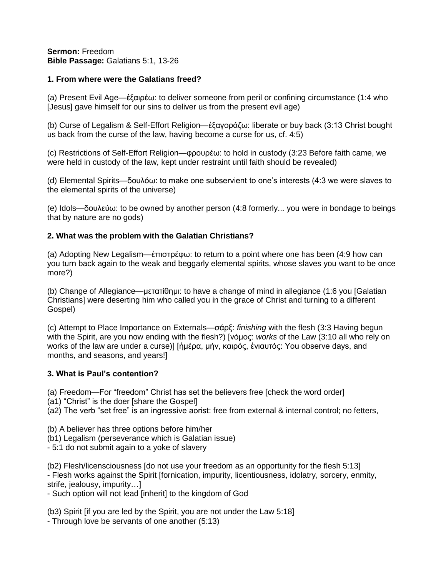#### **Sermon:** Freedom **Bible Passage:** Galatians 5:1, 13-26

### **1. From where were the Galatians freed?**

(a) Present Evil Age—ἐξαιρέω: to deliver someone from peril or confining circumstance (1:4 who [Jesus] gave himself for our sins to deliver us from the present evil age)

(b) Curse of Legalism & Self-Effort Religion—ἐξαγοράζω: liberate or buy back (3:13 Christ bought us back from the curse of the law, having become a curse for us, cf. 4:5)

(c) Restrictions of Self-Effort Religion—φρουρέω: to hold in custody (3:23 Before faith came, we were held in custody of the law, kept under restraint until faith should be revealed)

(d) Elemental Spirits—δουλόω: to make one subservient to one's interests (4:3 we were slaves to the elemental spirits of the universe)

(e) Idols—δουλεύω: to be owned by another person (4:8 formerly... you were in bondage to beings that by nature are no gods)

## **2. What was the problem with the Galatian Christians?**

(a) Adopting New Legalism—ἐπιστρέφω: to return to a point where one has been (4:9 how can you turn back again to the weak and beggarly elemental spirits, whose slaves you want to be once more?)

(b) Change of Allegiance—μετατίθημι: to have a change of mind in allegiance (1:6 you [Galatian Christians] were deserting him who called you in the grace of Christ and turning to a different Gospel)

(c) Attempt to Place Importance on Externals—σάρξ: *finishing* with the flesh (3:3 Having begun with the Spirit, are you now ending with the flesh?) [νόμος: *works* of the Law (3:10 all who rely on works of the law are under a curse)] [ἡμέρα, μήν, καιρός, ἐνιαυτός: You observe days, and months, and seasons, and years!]

### **3. What is Paul's contention?**

(a) Freedom—For "freedom" Christ has set the believers free [check the word order]

(a1) "Christ" is the doer [share the Gospel]

(a2) The verb "set free" is an ingressive aorist: free from external & internal control; no fetters,

- (b) A believer has three options before him/her
- (b1) Legalism (perseverance which is Galatian issue)
- 5:1 do not submit again to a yoke of slavery

(b2) Flesh/licensciousness [do not use your freedom as an opportunity for the flesh 5:13] - Flesh works against the Spirit [fornication, impurity, licentiousness, idolatry, sorcery, enmity, strife, jealousy, impurity…]

- Such option will not lead [inherit] to the kingdom of God

(b3) Spirit [if you are led by the Spirit, you are not under the Law 5:18]

- Through love be servants of one another (5:13)